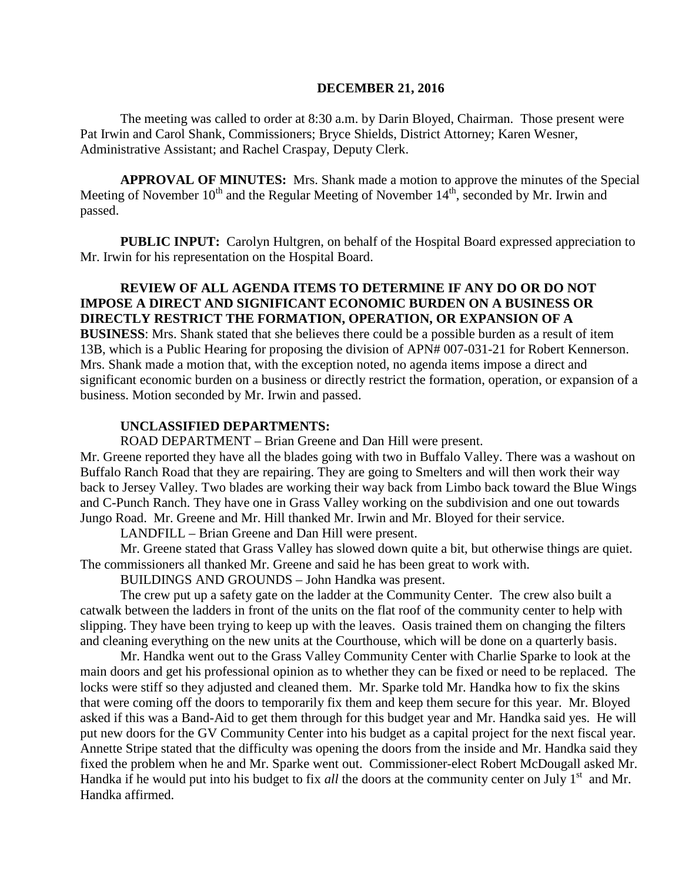#### **DECEMBER 21, 2016**

The meeting was called to order at 8:30 a.m. by Darin Bloyed, Chairman. Those present were Pat Irwin and Carol Shank, Commissioners; Bryce Shields, District Attorney; Karen Wesner, Administrative Assistant; and Rachel Craspay, Deputy Clerk.

 **APPROVAL OF MINUTES:** Mrs. Shank made a motion to approve the minutes of the Special Meeting of November  $10^{th}$  and the Regular Meeting of November  $14^{th}$ , seconded by Mr. Irwin and passed.

**PUBLIC INPUT:** Carolyn Hultgren, on behalf of the Hospital Board expressed appreciation to Mr. Irwin for his representation on the Hospital Board.

### **REVIEW OF ALL AGENDA ITEMS TO DETERMINE IF ANY DO OR DO NOT IMPOSE A DIRECT AND SIGNIFICANT ECONOMIC BURDEN ON A BUSINESS OR DIRECTLY RESTRICT THE FORMATION, OPERATION, OR EXPANSION OF A BUSINESS**: Mrs. Shank stated that she believes there could be a possible burden as a result of item 13B, which is a Public Hearing for proposing the division of APN# 007-031-21 for Robert Kennerson. Mrs. Shank made a motion that, with the exception noted, no agenda items impose a direct and significant economic burden on a business or directly restrict the formation, operation, or expansion of a business. Motion seconded by Mr. Irwin and passed.

### **UNCLASSIFIED DEPARTMENTS:**

ROAD DEPARTMENT – Brian Greene and Dan Hill were present.

Mr. Greene reported they have all the blades going with two in Buffalo Valley. There was a washout on Buffalo Ranch Road that they are repairing. They are going to Smelters and will then work their way back to Jersey Valley. Two blades are working their way back from Limbo back toward the Blue Wings and C-Punch Ranch. They have one in Grass Valley working on the subdivision and one out towards Jungo Road. Mr. Greene and Mr. Hill thanked Mr. Irwin and Mr. Bloyed for their service.

LANDFILL – Brian Greene and Dan Hill were present.

Mr. Greene stated that Grass Valley has slowed down quite a bit, but otherwise things are quiet. The commissioners all thanked Mr. Greene and said he has been great to work with.

BUILDINGS AND GROUNDS – John Handka was present.

The crew put up a safety gate on the ladder at the Community Center. The crew also built a catwalk between the ladders in front of the units on the flat roof of the community center to help with slipping. They have been trying to keep up with the leaves. Oasis trained them on changing the filters and cleaning everything on the new units at the Courthouse, which will be done on a quarterly basis.

Mr. Handka went out to the Grass Valley Community Center with Charlie Sparke to look at the main doors and get his professional opinion as to whether they can be fixed or need to be replaced. The locks were stiff so they adjusted and cleaned them. Mr. Sparke told Mr. Handka how to fix the skins that were coming off the doors to temporarily fix them and keep them secure for this year. Mr. Bloyed asked if this was a Band-Aid to get them through for this budget year and Mr. Handka said yes. He will put new doors for the GV Community Center into his budget as a capital project for the next fiscal year. Annette Stripe stated that the difficulty was opening the doors from the inside and Mr. Handka said they fixed the problem when he and Mr. Sparke went out. Commissioner-elect Robert McDougall asked Mr. Handka if he would put into his budget to fix *all* the doors at the community center on July 1<sup>st</sup> and Mr. Handka affirmed.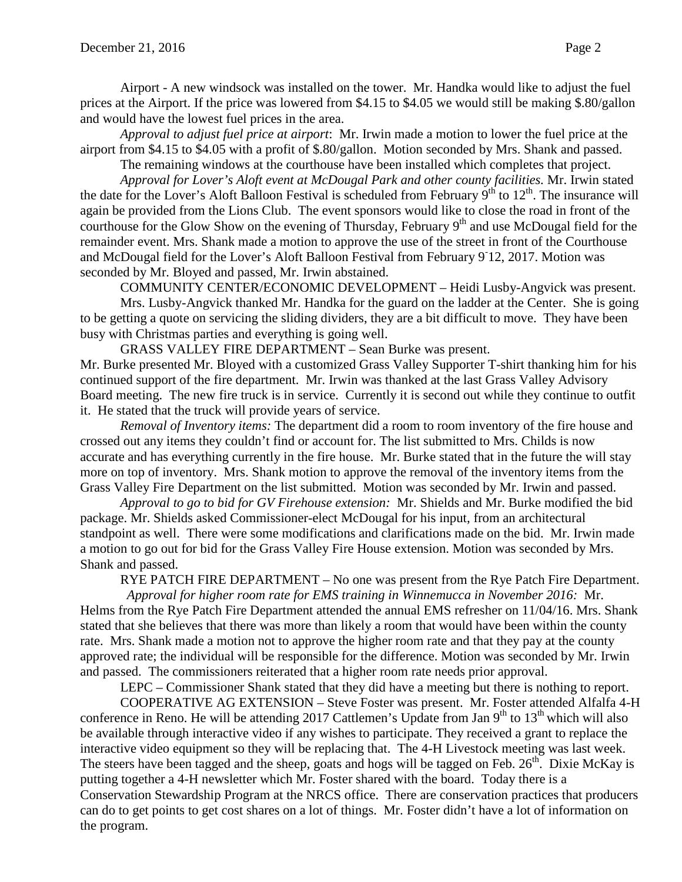Airport - A new windsock was installed on the tower. Mr. Handka would like to adjust the fuel prices at the Airport. If the price was lowered from \$4.15 to \$4.05 we would still be making \$.80/gallon and would have the lowest fuel prices in the area.

*Approval to adjust fuel price at airport*: Mr. Irwin made a motion to lower the fuel price at the airport from \$4.15 to \$4.05 with a profit of \$.80/gallon. Motion seconded by Mrs. Shank and passed.

The remaining windows at the courthouse have been installed which completes that project.

*Approval for Lover's Aloft event at McDougal Park and other county facilities.* Mr. Irwin stated the date for the Lover's Aloft Balloon Festival is scheduled from February  $9^{th}$  to  $12^{th}$ . The insurance will again be provided from the Lions Club. The event sponsors would like to close the road in front of the courthouse for the Glow Show on the evening of Thursday, February  $9<sup>th</sup>$  and use McDougal field for the remainder event. Mrs. Shank made a motion to approve the use of the street in front of the Courthouse and McDougal field for the Lover's Aloft Balloon Festival from February 9 12, 2017. Motion was seconded by Mr. Bloyed and passed, Mr. Irwin abstained.

COMMUNITY CENTER/ECONOMIC DEVELOPMENT – Heidi Lusby-Angvick was present. Mrs. Lusby-Angvick thanked Mr. Handka for the guard on the ladder at the Center. She is going to be getting a quote on servicing the sliding dividers, they are a bit difficult to move. They have been busy with Christmas parties and everything is going well.

GRASS VALLEY FIRE DEPARTMENT – Sean Burke was present. Mr. Burke presented Mr. Bloyed with a customized Grass Valley Supporter T-shirt thanking him for his continued support of the fire department. Mr. Irwin was thanked at the last Grass Valley Advisory Board meeting. The new fire truck is in service. Currently it is second out while they continue to outfit

it. He stated that the truck will provide years of service.

*Removal of Inventory items:* The department did a room to room inventory of the fire house and crossed out any items they couldn't find or account for. The list submitted to Mrs. Childs is now accurate and has everything currently in the fire house. Mr. Burke stated that in the future the will stay more on top of inventory. Mrs. Shank motion to approve the removal of the inventory items from the Grass Valley Fire Department on the list submitted. Motion was seconded by Mr. Irwin and passed.

*Approval to go to bid for GV Firehouse extension:* Mr. Shields and Mr. Burke modified the bid package. Mr. Shields asked Commissioner-elect McDougal for his input, from an architectural standpoint as well. There were some modifications and clarifications made on the bid. Mr. Irwin made a motion to go out for bid for the Grass Valley Fire House extension. Motion was seconded by Mrs. Shank and passed.

RYE PATCH FIRE DEPARTMENT – No one was present from the Rye Patch Fire Department.

 *Approval for higher room rate for EMS training in Winnemucca in November 2016:* Mr. Helms from the Rye Patch Fire Department attended the annual EMS refresher on 11/04/16. Mrs. Shank stated that she believes that there was more than likely a room that would have been within the county rate. Mrs. Shank made a motion not to approve the higher room rate and that they pay at the county approved rate; the individual will be responsible for the difference. Motion was seconded by Mr. Irwin and passed. The commissioners reiterated that a higher room rate needs prior approval.

LEPC – Commissioner Shank stated that they did have a meeting but there is nothing to report.

COOPERATIVE AG EXTENSION – Steve Foster was present. Mr. Foster attended Alfalfa 4-H conference in Reno. He will be attending 2017 Cattlemen's Update from Jan  $9<sup>th</sup>$  to  $13<sup>th</sup>$  which will also be available through interactive video if any wishes to participate. They received a grant to replace the interactive video equipment so they will be replacing that. The 4-H Livestock meeting was last week. The steers have been tagged and the sheep, goats and hogs will be tagged on Feb. 26<sup>th</sup>. Dixie McKay is putting together a 4-H newsletter which Mr. Foster shared with the board. Today there is a Conservation Stewardship Program at the NRCS office. There are conservation practices that producers can do to get points to get cost shares on a lot of things. Mr. Foster didn't have a lot of information on the program.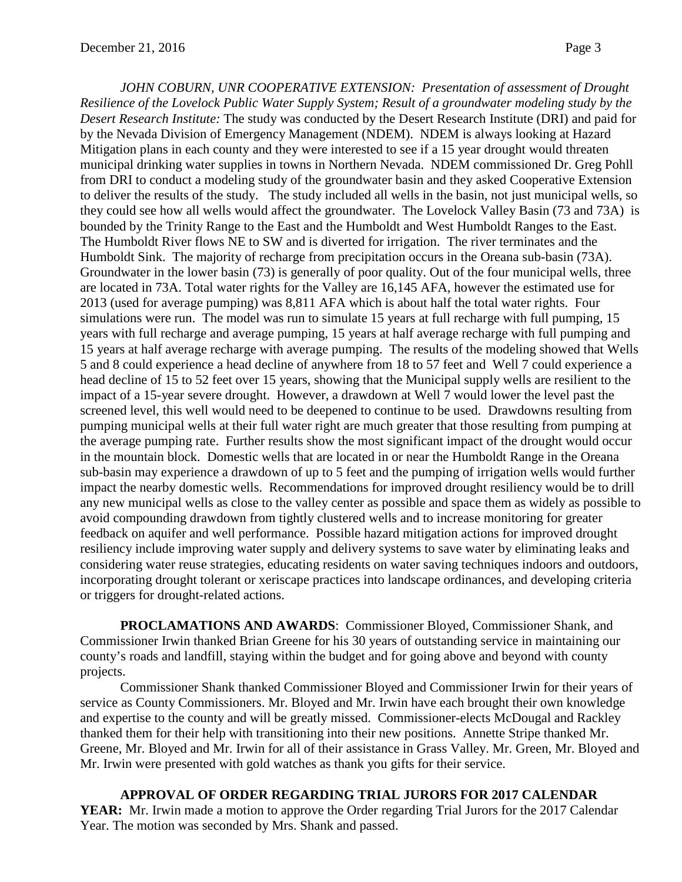*JOHN COBURN, UNR COOPERATIVE EXTENSION: Presentation of assessment of Drought Resilience of the Lovelock Public Water Supply System; Result of a groundwater modeling study by the Desert Research Institute:* The study was conducted by the Desert Research Institute (DRI) and paid for by the Nevada Division of Emergency Management (NDEM). NDEM is always looking at Hazard Mitigation plans in each county and they were interested to see if a 15 year drought would threaten municipal drinking water supplies in towns in Northern Nevada. NDEM commissioned Dr. Greg Pohll from DRI to conduct a modeling study of the groundwater basin and they asked Cooperative Extension to deliver the results of the study. The study included all wells in the basin, not just municipal wells, so they could see how all wells would affect the groundwater. The Lovelock Valley Basin (73 and 73A) is bounded by the Trinity Range to the East and the Humboldt and West Humboldt Ranges to the East. The Humboldt River flows NE to SW and is diverted for irrigation. The river terminates and the Humboldt Sink. The majority of recharge from precipitation occurs in the Oreana sub-basin (73A). Groundwater in the lower basin (73) is generally of poor quality. Out of the four municipal wells, three are located in 73A. Total water rights for the Valley are 16,145 AFA, however the estimated use for 2013 (used for average pumping) was 8,811 AFA which is about half the total water rights. Four simulations were run. The model was run to simulate 15 years at full recharge with full pumping, 15 years with full recharge and average pumping, 15 years at half average recharge with full pumping and 15 years at half average recharge with average pumping. The results of the modeling showed that Wells 5 and 8 could experience a head decline of anywhere from 18 to 57 feet and Well 7 could experience a head decline of 15 to 52 feet over 15 years, showing that the Municipal supply wells are resilient to the impact of a 15-year severe drought. However, a drawdown at Well 7 would lower the level past the screened level, this well would need to be deepened to continue to be used. Drawdowns resulting from pumping municipal wells at their full water right are much greater that those resulting from pumping at the average pumping rate. Further results show the most significant impact of the drought would occur in the mountain block. Domestic wells that are located in or near the Humboldt Range in the Oreana sub-basin may experience a drawdown of up to 5 feet and the pumping of irrigation wells would further impact the nearby domestic wells. Recommendations for improved drought resiliency would be to drill any new municipal wells as close to the valley center as possible and space them as widely as possible to avoid compounding drawdown from tightly clustered wells and to increase monitoring for greater feedback on aquifer and well performance. Possible hazard mitigation actions for improved drought resiliency include improving water supply and delivery systems to save water by eliminating leaks and considering water reuse strategies, educating residents on water saving techniques indoors and outdoors, incorporating drought tolerant or xeriscape practices into landscape ordinances, and developing criteria or triggers for drought-related actions.

**PROCLAMATIONS AND AWARDS**: Commissioner Bloyed, Commissioner Shank, and Commissioner Irwin thanked Brian Greene for his 30 years of outstanding service in maintaining our county's roads and landfill, staying within the budget and for going above and beyond with county projects.

Commissioner Shank thanked Commissioner Bloyed and Commissioner Irwin for their years of service as County Commissioners. Mr. Bloyed and Mr. Irwin have each brought their own knowledge and expertise to the county and will be greatly missed. Commissioner-elects McDougal and Rackley thanked them for their help with transitioning into their new positions. Annette Stripe thanked Mr. Greene, Mr. Bloyed and Mr. Irwin for all of their assistance in Grass Valley. Mr. Green, Mr. Bloyed and Mr. Irwin were presented with gold watches as thank you gifts for their service.

**APPROVAL OF ORDER REGARDING TRIAL JURORS FOR 2017 CALENDAR**  YEAR: Mr. Irwin made a motion to approve the Order regarding Trial Jurors for the 2017 Calendar Year. The motion was seconded by Mrs. Shank and passed.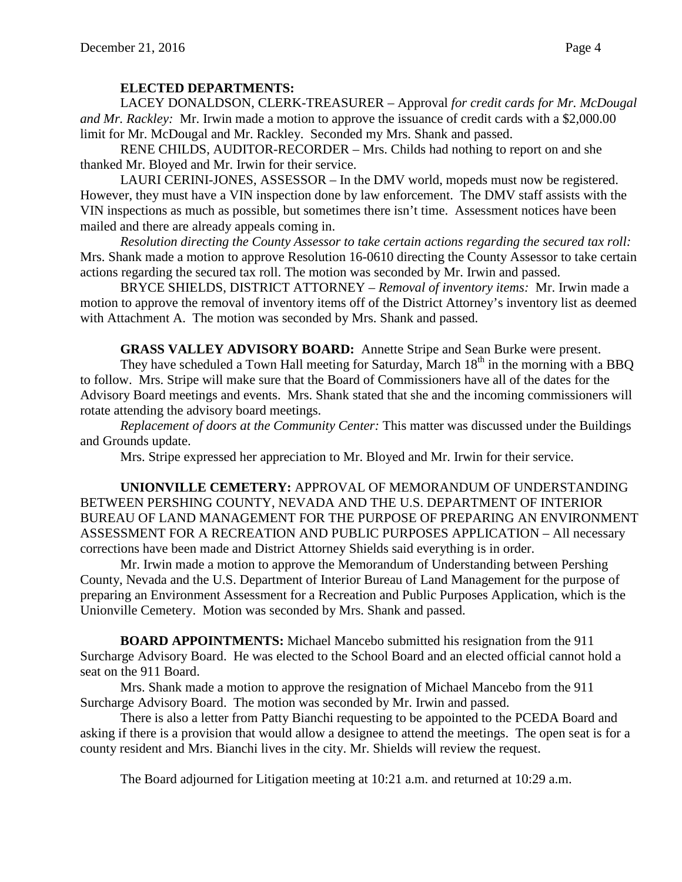# **ELECTED DEPARTMENTS:**

LACEY DONALDSON, CLERK-TREASURER – Approval *for credit cards for Mr. McDougal and Mr. Rackley:* Mr. Irwin made a motion to approve the issuance of credit cards with a \$2,000.00 limit for Mr. McDougal and Mr. Rackley. Seconded my Mrs. Shank and passed.

RENE CHILDS, AUDITOR-RECORDER – Mrs. Childs had nothing to report on and she thanked Mr. Bloyed and Mr. Irwin for their service.

LAURI CERINI-JONES, ASSESSOR – In the DMV world, mopeds must now be registered. However, they must have a VIN inspection done by law enforcement. The DMV staff assists with the VIN inspections as much as possible, but sometimes there isn't time. Assessment notices have been mailed and there are already appeals coming in.

*Resolution directing the County Assessor to take certain actions regarding the secured tax roll:*  Mrs. Shank made a motion to approve Resolution 16-0610 directing the County Assessor to take certain actions regarding the secured tax roll. The motion was seconded by Mr. Irwin and passed.

BRYCE SHIELDS, DISTRICT ATTORNEY – *Removal of inventory items:* Mr. Irwin made a motion to approve the removal of inventory items off of the District Attorney's inventory list as deemed with Attachment A. The motion was seconded by Mrs. Shank and passed.

**GRASS VALLEY ADVISORY BOARD:** Annette Stripe and Sean Burke were present.

They have scheduled a Town Hall meeting for Saturday, March  $18<sup>th</sup>$  in the morning with a BBQ to follow. Mrs. Stripe will make sure that the Board of Commissioners have all of the dates for the Advisory Board meetings and events. Mrs. Shank stated that she and the incoming commissioners will rotate attending the advisory board meetings.

*Replacement of doors at the Community Center:* This matter was discussed under the Buildings and Grounds update.

Mrs. Stripe expressed her appreciation to Mr. Bloyed and Mr. Irwin for their service.

**UNIONVILLE CEMETERY:** APPROVAL OF MEMORANDUM OF UNDERSTANDING BETWEEN PERSHING COUNTY, NEVADA AND THE U.S. DEPARTMENT OF INTERIOR BUREAU OF LAND MANAGEMENT FOR THE PURPOSE OF PREPARING AN ENVIRONMENT ASSESSMENT FOR A RECREATION AND PUBLIC PURPOSES APPLICATION – All necessary corrections have been made and District Attorney Shields said everything is in order.

Mr. Irwin made a motion to approve the Memorandum of Understanding between Pershing County, Nevada and the U.S. Department of Interior Bureau of Land Management for the purpose of preparing an Environment Assessment for a Recreation and Public Purposes Application, which is the Unionville Cemetery. Motion was seconded by Mrs. Shank and passed.

**BOARD APPOINTMENTS:** Michael Mancebo submitted his resignation from the 911 Surcharge Advisory Board. He was elected to the School Board and an elected official cannot hold a seat on the 911 Board.

Mrs. Shank made a motion to approve the resignation of Michael Mancebo from the 911 Surcharge Advisory Board. The motion was seconded by Mr. Irwin and passed.

There is also a letter from Patty Bianchi requesting to be appointed to the PCEDA Board and asking if there is a provision that would allow a designee to attend the meetings. The open seat is for a county resident and Mrs. Bianchi lives in the city. Mr. Shields will review the request.

The Board adjourned for Litigation meeting at 10:21 a.m. and returned at 10:29 a.m.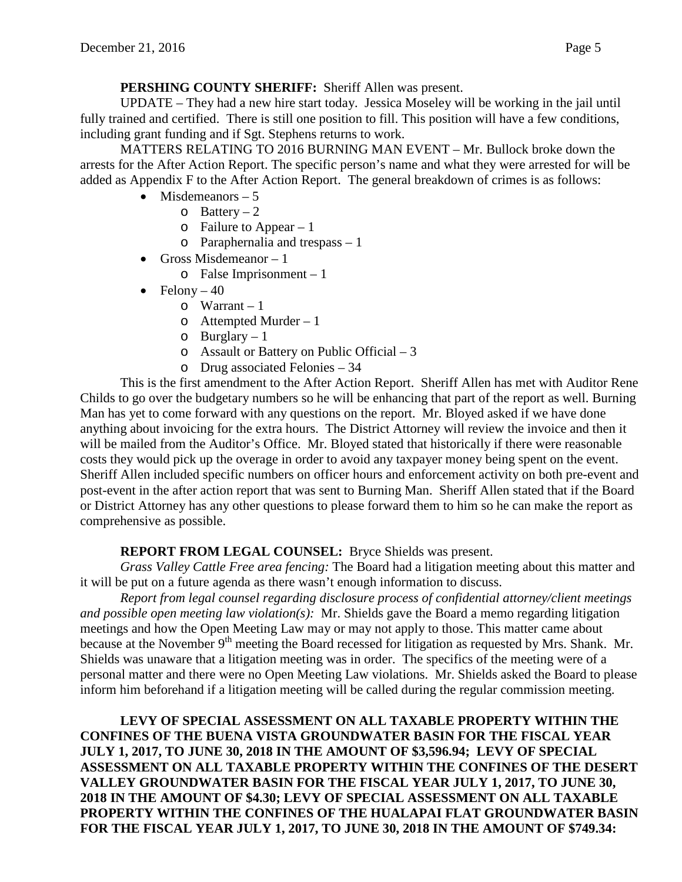**PERSHING COUNTY SHERIFF:** Sheriff Allen was present.

UPDATE – They had a new hire start today. Jessica Moseley will be working in the jail until fully trained and certified. There is still one position to fill. This position will have a few conditions, including grant funding and if Sgt. Stephens returns to work.

MATTERS RELATING TO 2016 BURNING MAN EVENT – Mr. Bullock broke down the arrests for the After Action Report. The specific person's name and what they were arrested for will be added as Appendix F to the After Action Report. The general breakdown of crimes is as follows:

- Misdemeanors  $-5$ 
	- $\circ$  Battery 2
	- o Failure to Appear 1
	- o Paraphernalia and trespass 1
- Gross Misdemeanor  $-1$ 
	- o False Imprisonment 1
- Felony  $-40$ 
	- $\circ$  Warrant 1
	- o Attempted Murder 1
	- $o$  Burglary 1
	- o Assault or Battery on Public Official 3
	- o Drug associated Felonies 34

This is the first amendment to the After Action Report. Sheriff Allen has met with Auditor Rene Childs to go over the budgetary numbers so he will be enhancing that part of the report as well. Burning Man has yet to come forward with any questions on the report. Mr. Bloyed asked if we have done anything about invoicing for the extra hours. The District Attorney will review the invoice and then it will be mailed from the Auditor's Office. Mr. Bloyed stated that historically if there were reasonable costs they would pick up the overage in order to avoid any taxpayer money being spent on the event. Sheriff Allen included specific numbers on officer hours and enforcement activity on both pre-event and post-event in the after action report that was sent to Burning Man. Sheriff Allen stated that if the Board or District Attorney has any other questions to please forward them to him so he can make the report as comprehensive as possible.

# **REPORT FROM LEGAL COUNSEL:** Bryce Shields was present.

*Grass Valley Cattle Free area fencing:* The Board had a litigation meeting about this matter and it will be put on a future agenda as there wasn't enough information to discuss.

*Report from legal counsel regarding disclosure process of confidential attorney/client meetings and possible open meeting law violation(s):* Mr. Shields gave the Board a memo regarding litigation meetings and how the Open Meeting Law may or may not apply to those. This matter came about because at the November 9<sup>th</sup> meeting the Board recessed for litigation as requested by Mrs. Shank. Mr. Shields was unaware that a litigation meeting was in order. The specifics of the meeting were of a personal matter and there were no Open Meeting Law violations. Mr. Shields asked the Board to please inform him beforehand if a litigation meeting will be called during the regular commission meeting.

**LEVY OF SPECIAL ASSESSMENT ON ALL TAXABLE PROPERTY WITHIN THE CONFINES OF THE BUENA VISTA GROUNDWATER BASIN FOR THE FISCAL YEAR JULY 1, 2017, TO JUNE 30, 2018 IN THE AMOUNT OF \$3,596.94; LEVY OF SPECIAL ASSESSMENT ON ALL TAXABLE PROPERTY WITHIN THE CONFINES OF THE DESERT VALLEY GROUNDWATER BASIN FOR THE FISCAL YEAR JULY 1, 2017, TO JUNE 30, 2018 IN THE AMOUNT OF \$4.30; LEVY OF SPECIAL ASSESSMENT ON ALL TAXABLE PROPERTY WITHIN THE CONFINES OF THE HUALAPAI FLAT GROUNDWATER BASIN FOR THE FISCAL YEAR JULY 1, 2017, TO JUNE 30, 2018 IN THE AMOUNT OF \$749.34:**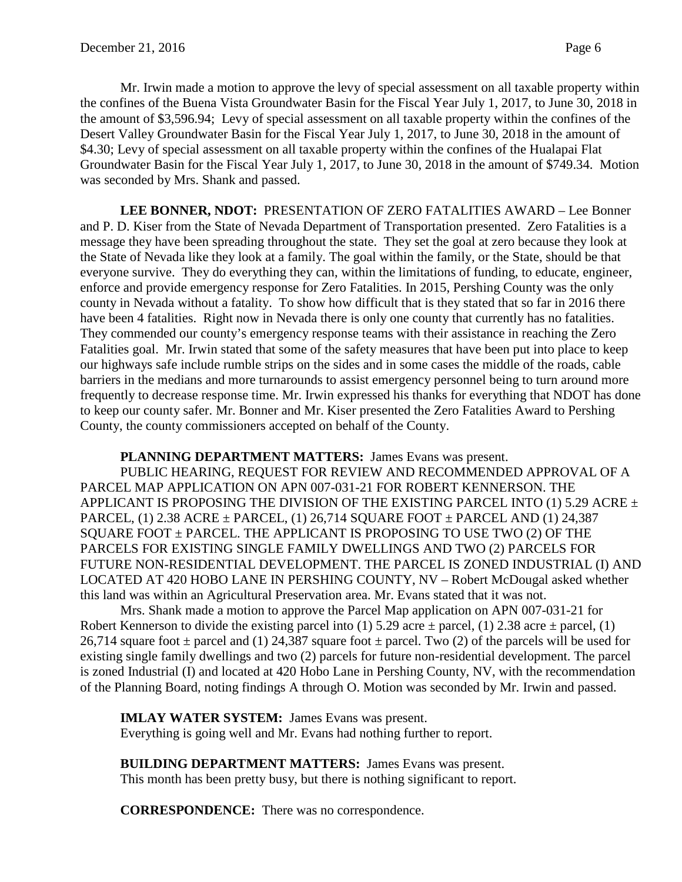Mr. Irwin made a motion to approve the levy of special assessment on all taxable property within the confines of the Buena Vista Groundwater Basin for the Fiscal Year July 1, 2017, to June 30, 2018 in the amount of \$3,596.94; Levy of special assessment on all taxable property within the confines of the Desert Valley Groundwater Basin for the Fiscal Year July 1, 2017, to June 30, 2018 in the amount of \$4.30; Levy of special assessment on all taxable property within the confines of the Hualapai Flat Groundwater Basin for the Fiscal Year July 1, 2017, to June 30, 2018 in the amount of \$749.34. Motion was seconded by Mrs. Shank and passed.

**LEE BONNER, NDOT:** PRESENTATION OF ZERO FATALITIES AWARD – Lee Bonner and P. D. Kiser from the State of Nevada Department of Transportation presented. Zero Fatalities is a message they have been spreading throughout the state. They set the goal at zero because they look at the State of Nevada like they look at a family. The goal within the family, or the State, should be that everyone survive. They do everything they can, within the limitations of funding, to educate, engineer, enforce and provide emergency response for Zero Fatalities. In 2015, Pershing County was the only county in Nevada without a fatality. To show how difficult that is they stated that so far in 2016 there have been 4 fatalities. Right now in Nevada there is only one county that currently has no fatalities. They commended our county's emergency response teams with their assistance in reaching the Zero Fatalities goal. Mr. Irwin stated that some of the safety measures that have been put into place to keep our highways safe include rumble strips on the sides and in some cases the middle of the roads, cable barriers in the medians and more turnarounds to assist emergency personnel being to turn around more frequently to decrease response time. Mr. Irwin expressed his thanks for everything that NDOT has done to keep our county safer. Mr. Bonner and Mr. Kiser presented the Zero Fatalities Award to Pershing County, the county commissioners accepted on behalf of the County.

### **PLANNING DEPARTMENT MATTERS:** James Evans was present.

PUBLIC HEARING, REQUEST FOR REVIEW AND RECOMMENDED APPROVAL OF A PARCEL MAP APPLICATION ON APN 007-031-21 FOR ROBERT KENNERSON. THE APPLICANT IS PROPOSING THE DIVISION OF THE EXISTING PARCEL INTO (1) 5.29 ACRE  $\pm$ PARCEL, (1) 2.38 ACRE  $\pm$  PARCEL, (1) 26,714 SQUARE FOOT  $\pm$  PARCEL AND (1) 24,387 SQUARE FOOT  $\pm$  PARCEL. THE APPLICANT IS PROPOSING TO USE TWO (2) OF THE PARCELS FOR EXISTING SINGLE FAMILY DWELLINGS AND TWO (2) PARCELS FOR FUTURE NON-RESIDENTIAL DEVELOPMENT. THE PARCEL IS ZONED INDUSTRIAL (I) AND LOCATED AT 420 HOBO LANE IN PERSHING COUNTY, NV – Robert McDougal asked whether this land was within an Agricultural Preservation area. Mr. Evans stated that it was not.

Mrs. Shank made a motion to approve the Parcel Map application on APN 007-031-21 for Robert Kennerson to divide the existing parcel into (1) 5.29 acre  $\pm$  parcel, (1) 2.38 acre  $\pm$  parcel, (1) 26,714 square foot  $\pm$  parcel and (1) 24,387 square foot  $\pm$  parcel. Two (2) of the parcels will be used for existing single family dwellings and two (2) parcels for future non-residential development. The parcel is zoned Industrial (I) and located at 420 Hobo Lane in Pershing County, NV, with the recommendation of the Planning Board, noting findings A through O. Motion was seconded by Mr. Irwin and passed.

**IMLAY WATER SYSTEM:** James Evans was present. Everything is going well and Mr. Evans had nothing further to report.

**BUILDING DEPARTMENT MATTERS:** James Evans was present. This month has been pretty busy, but there is nothing significant to report.

**CORRESPONDENCE:** There was no correspondence.